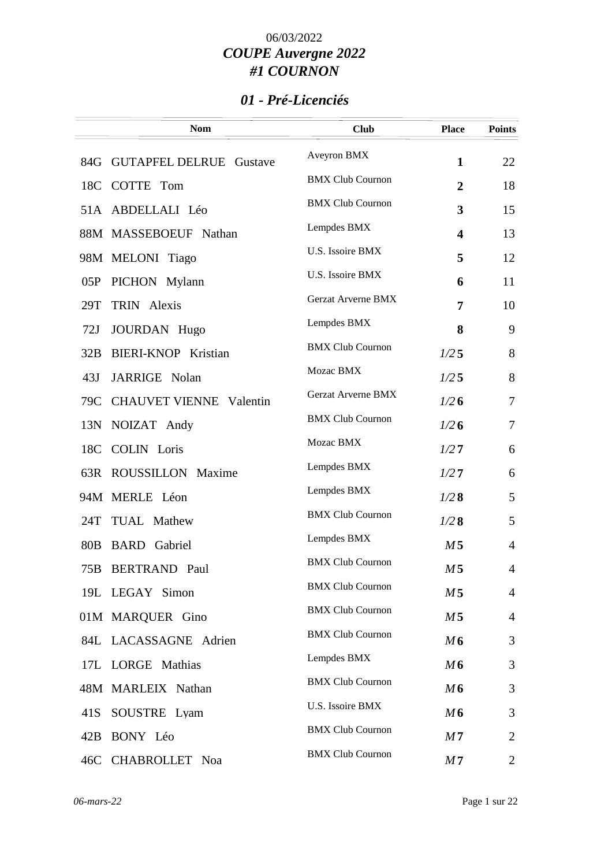## *01 - Pré-Licenciés*

|                 | <b>Nom</b>                     | <b>Club</b>               | <b>Place</b>            | <b>Points</b>  |
|-----------------|--------------------------------|---------------------------|-------------------------|----------------|
|                 | 84G GUTAPFEL DELRUE Gustave    | Aveyron BMX               | $\mathbf{1}$            | 22             |
|                 | 18C COTTE Tom                  | <b>BMX Club Cournon</b>   | $\overline{2}$          | 18             |
|                 | 51A ABDELLALI Léo              | <b>BMX Club Cournon</b>   | 3                       | 15             |
|                 | 88M MASSEBOEUF Nathan          | Lempdes BMX               | $\overline{\mathbf{4}}$ | 13             |
|                 | 98M MELONI Tiago               | U.S. Issoire BMX          | 5                       | 12             |
| 05P             | PICHON Mylann                  | U.S. Issoire BMX          | 6                       | 11             |
| 29T             | TRIN Alexis                    | <b>Gerzat Arverne BMX</b> | 7                       | 10             |
| 72J             | JOURDAN Hugo                   | Lempdes BMX               | 8                       | 9              |
| 32B             | <b>BIERI-KNOP Kristian</b>     | <b>BMX Club Cournon</b>   | 1/25                    | 8              |
| 43J             | JARRIGE Nolan                  | Mozac BMX                 | 1/25                    | 8              |
| 79C             | <b>CHAUVET VIENNE Valentin</b> | Gerzat Arverne BMX        | 1/26                    | $\tau$         |
| 13N             | NOIZAT Andy                    | <b>BMX Club Cournon</b>   | 1/26                    | $\overline{7}$ |
| 18C             | <b>COLIN</b> Loris             | Mozac BMX                 | 1/27                    | 6              |
|                 | 63R ROUSSILLON Maxime          | Lempdes BMX               | 1/27                    | 6              |
|                 | 94M MERLE Léon                 | Lempdes BMX               | 1/28                    | 5              |
| 24T             | TUAL Mathew                    | <b>BMX Club Cournon</b>   | 1/28                    | 5              |
| 80 <sub>B</sub> | <b>BARD</b> Gabriel            | Lempdes BMX               | M <sub>5</sub>          | $\overline{4}$ |
| 75B             | <b>BERTRAND Paul</b>           | <b>BMX Club Cournon</b>   | M <sub>5</sub>          | 4              |
|                 | 19L LEGAY Simon                | <b>BMX Club Cournon</b>   | M 5                     | $\overline{4}$ |
|                 | 01M MARQUER Gino               | <b>BMX Club Cournon</b>   | M <sub>5</sub>          | $\overline{4}$ |
|                 | 84L LACASSAGNE Adrien          | <b>BMX Club Cournon</b>   | M6                      | 3              |
|                 | 17L LORGE Mathias              | Lempdes BMX               | M6                      | 3              |
|                 | 48M MARLEIX Nathan             | <b>BMX Club Cournon</b>   | M6                      | 3              |
| 41S             | SOUSTRE Lyam                   | U.S. Issoire BMX          | M6                      | 3              |
|                 | 42B BONY Léo                   | <b>BMX Club Cournon</b>   | M <sub>7</sub>          | $\overline{2}$ |
|                 | 46C CHABROLLET Noa             | <b>BMX Club Cournon</b>   | M <sub>7</sub>          | 2              |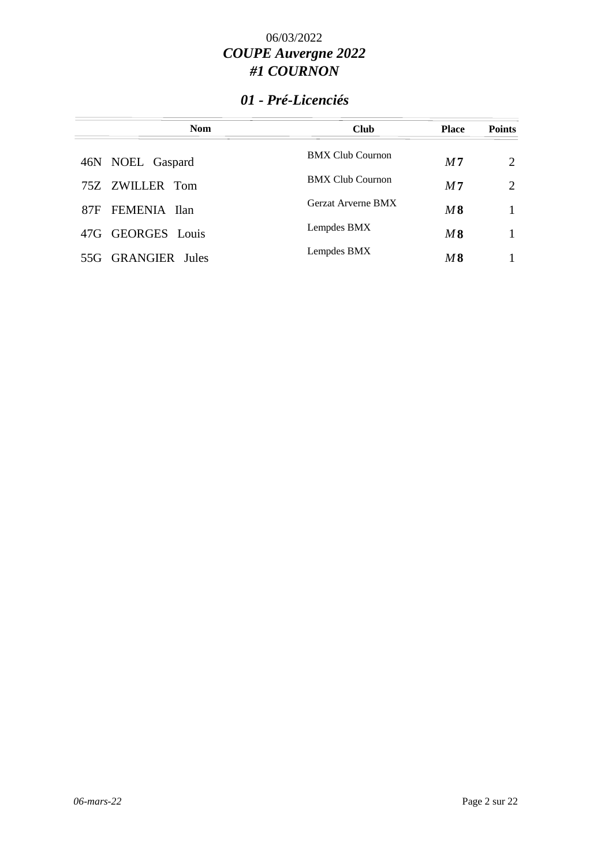## *01 - Pré-Licenciés*

| <b>Nom</b>         | <b>Club</b>             | <b>Place</b>   | <b>Points</b>               |
|--------------------|-------------------------|----------------|-----------------------------|
| 46N NOEL Gaspard   | <b>BMX Club Cournon</b> | M <sub>7</sub> | 2                           |
| 75Z ZWILLER Tom    | <b>BMX Club Cournon</b> | M <sub>7</sub> | $\mathcal{D}_{\mathcal{L}}$ |
| 87F FEMENIA Ilan   | Gerzat Arverne BMX      | M8             |                             |
| 47G GEORGES Louis  | Lempdes BMX             | M8             |                             |
| 55G GRANGIER Jules | Lempdes BMX             | M8             |                             |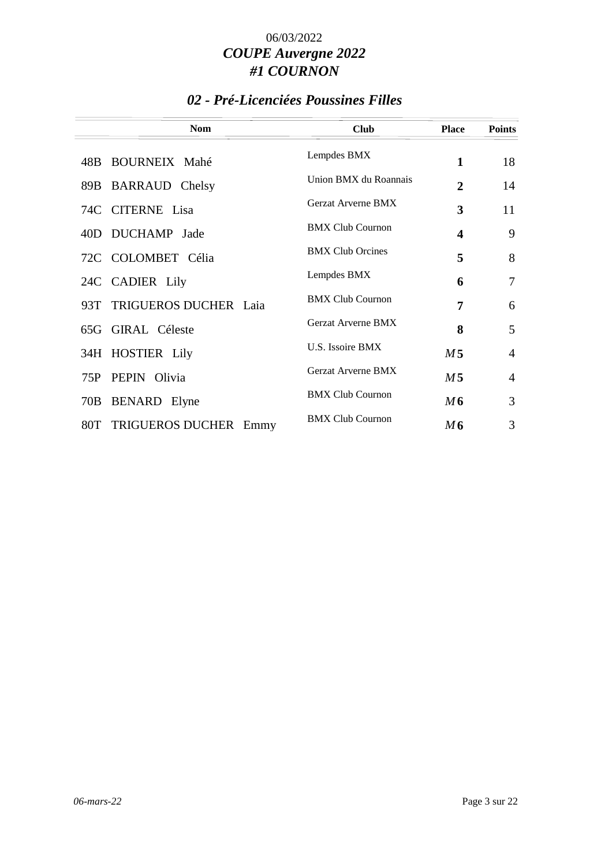## *02 - Pré-Licenciées Poussines Filles*

|                              | <b>Nom</b> | <b>Club</b>               | <b>Place</b>   | <b>Points</b>  |
|------------------------------|------------|---------------------------|----------------|----------------|
| 48B BOURNEIX Mahé            |            | Lempdes BMX               | 1              | 18             |
| 89B BARRAUD Chelsy           |            | Union BMX du Roannais     | $\overline{2}$ | 14             |
| 74C CITERNE Lisa             |            | <b>Gerzat Arverne BMX</b> | 3              | 11             |
| 40D DUCHAMP Jade             |            | <b>BMX Club Cournon</b>   | 4              | 9              |
| 72C COLOMBET Célia           |            | <b>BMX Club Orcines</b>   | 5              | 8              |
| 24C CADIER Lily              |            | Lempdes BMX               | 6              | 7              |
| 93T TRIGUEROS DUCHER Laia    |            | <b>BMX Club Cournon</b>   | 7              | 6              |
| 65G GIRAL Céleste            |            | <b>Gerzat Arverne BMX</b> | 8              | 5              |
| 34H HOSTIER Lily             |            | U.S. Issoire BMX          | M <sub>5</sub> | $\overline{4}$ |
| PEPIN Olivia<br>75P          |            | <b>Gerzat Arverne BMX</b> | M <sub>5</sub> | $\overline{4}$ |
| 70B<br>BENARD Elyne          |            | <b>BMX Club Cournon</b>   | M6             | 3              |
| TRIGUEROS DUCHER Emmy<br>80T |            | <b>BMX Club Cournon</b>   | M6             | 3              |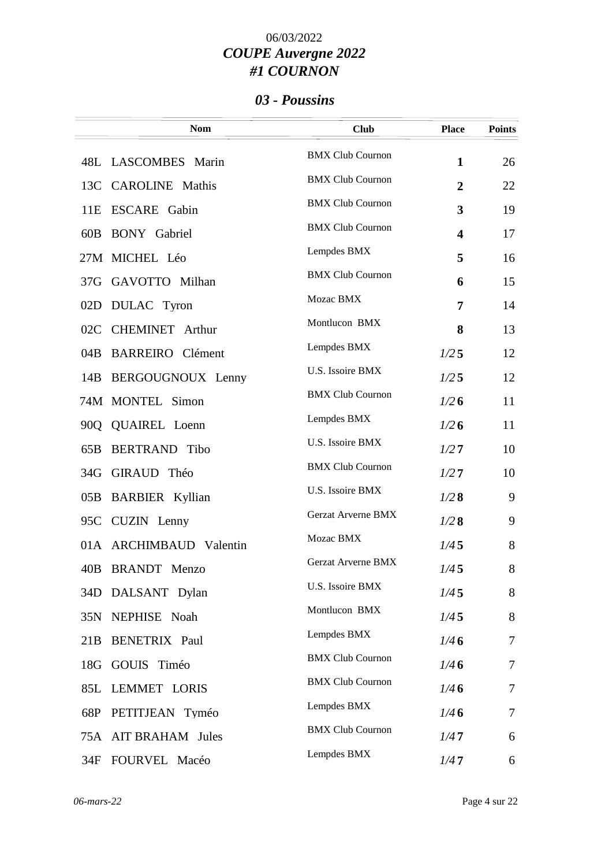### *03 - Poussins*

|     | <b>Nom</b>              | <b>Club</b>               | <b>Place</b>            | <b>Points</b> |
|-----|-------------------------|---------------------------|-------------------------|---------------|
|     | 48L LASCOMBES Marin     | <b>BMX Club Cournon</b>   | $\mathbf{1}$            | 26            |
|     | 13C CAROLINE Mathis     | <b>BMX Club Cournon</b>   | $\overline{2}$          | 22            |
| 11E | <b>ESCARE</b> Gabin     | <b>BMX Club Cournon</b>   | 3                       | 19            |
| 60B | <b>BONY</b> Gabriel     | <b>BMX Club Cournon</b>   | $\overline{\mathbf{4}}$ | 17            |
|     | 27M MICHEL Léo          | Lempdes BMX               | 5                       | 16            |
|     | 37G GAVOTTO Milhan      | <b>BMX Club Cournon</b>   | 6                       | 15            |
| 02D | DULAC Tyron             | Mozac BMX                 | 7                       | 14            |
| 02C | <b>CHEMINET</b> Arthur  | Montlucon BMX             | 8                       | 13            |
| 04B | <b>BARREIRO</b> Clément | Lempdes BMX               | 1/25                    | 12            |
|     | 14B BERGOUGNOUX Lenny   | U.S. Issoire BMX          | 1/25                    | 12            |
|     | 74M MONTEL Simon        | <b>BMX Club Cournon</b>   | 1/26                    | 11            |
|     | 90Q QUAIREL Loenn       | Lempdes BMX               | 1/26                    | 11            |
| 65B | <b>BERTRAND</b> Tibo    | U.S. Issoire BMX          | 1/27                    | 10            |
|     | 34G GIRAUD Théo         | <b>BMX Club Cournon</b>   | 1/27                    | 10            |
| 05B | <b>BARBIER</b> Kyllian  | U.S. Issoire BMX          | 1/28                    | 9             |
|     | 95C CUZIN Lenny         | <b>Gerzat Arverne BMX</b> | 1/28                    | 9             |
|     | 01A ARCHIMBAUD Valentin | Mozac BMX                 | 1/45                    | 8             |
|     | 40B BRANDT Menzo        | <b>Gerzat Arverne BMX</b> | 1/45                    | 8             |
|     | 34D DALSANT Dylan       | U.S. Issoire BMX          | 1/45                    | 8             |
|     | 35N NEPHISE Noah        | Montlucon BMX             | 1/45                    | 8             |
| 21B | <b>BENETRIX Paul</b>    | Lempdes BMX               | 1/46                    | $\tau$        |
|     | 18G GOUIS Timéo         | <b>BMX Club Cournon</b>   | 1/46                    | 7             |
|     | 85L LEMMET LORIS        | <b>BMX Club Cournon</b>   | 1/46                    | 7             |
|     | 68P PETITJEAN Tyméo     | Lempdes BMX               | 1/46                    | 7             |
|     | 75A AIT BRAHAM Jules    | <b>BMX Club Cournon</b>   | 1/47                    | 6             |
| 34F | FOURVEL Macéo           | Lempdes BMX               | 1/47                    | 6             |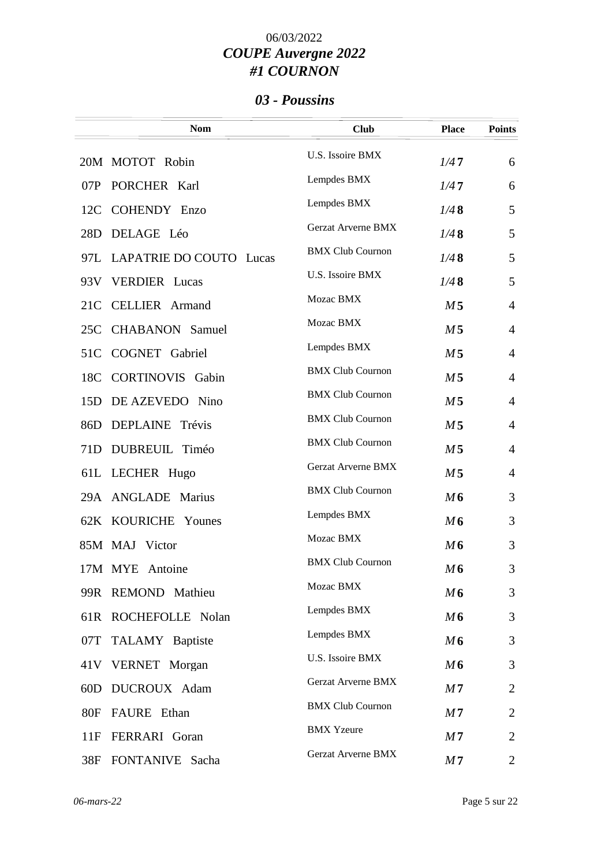### *03 - Poussins*

|            | <b>Nom</b>                  | <b>Club</b>               | <b>Place</b>   | <b>Points</b>  |
|------------|-----------------------------|---------------------------|----------------|----------------|
|            | 20M MOTOT Robin             | <b>U.S. Issoire BMX</b>   | 1/47           | 6              |
| 07P        | PORCHER Karl                | Lempdes BMX               | 1/47           | 6              |
| 12C        | <b>COHENDY Enzo</b>         | Lempdes BMX               | 1/48           | 5              |
| 28D        | DELAGE Léo                  | Gerzat Arverne BMX        | 1/48           | 5              |
|            | 97L LAPATRIE DO COUTO Lucas | <b>BMX Club Cournon</b>   | 1/48           | 5              |
| 93V        | <b>VERDIER</b> Lucas        | U.S. Issoire BMX          | 1/48           | 5              |
| 21C        | <b>CELLIER</b> Armand       | Mozac BMX                 | M <sub>5</sub> | $\overline{4}$ |
| 25C        | <b>CHABANON</b> Samuel      | Mozac BMX                 | M <sub>5</sub> | $\overline{4}$ |
| 51C        | COGNET Gabriel              | Lempdes BMX               | M <sub>5</sub> | $\overline{4}$ |
| 18C        | <b>CORTINOVIS</b> Gabin     | <b>BMX Club Cournon</b>   | M <sub>5</sub> | $\overline{4}$ |
| 15D        | DE AZEVEDO Nino             | <b>BMX Club Cournon</b>   | M <sub>5</sub> | $\overline{4}$ |
| 86D        | DEPLAINE<br>Trévis          | <b>BMX Club Cournon</b>   | M <sub>5</sub> | 4              |
| 71D        | DUBREUIL Timéo              | <b>BMX Club Cournon</b>   | M <sub>5</sub> | $\overline{4}$ |
|            | 61L LECHER Hugo             | Gerzat Arverne BMX        | M <sub>5</sub> | $\overline{4}$ |
|            | 29A ANGLADE Marius          | <b>BMX Club Cournon</b>   | M6             | 3              |
|            | 62K KOURICHE Younes         | Lempdes BMX               | M6             | 3              |
|            | 85M MAJ Victor              | Mozac BMX                 | M6             | 3              |
|            | 17M MYE Antoine             | <b>BMX Club Cournon</b>   | M6             | 3              |
|            | 99R REMOND Mathieu          | Mozac BMX                 | M6             | 3              |
|            | 61R ROCHEFOLLE Nolan        | Lempdes BMX               | M6             | 3              |
| 07T        | TALAMY Baptiste             | Lempdes BMX               | M6             | 3              |
| 41 V       | <b>VERNET</b> Morgan        | U.S. Issoire BMX          | M6             | 3              |
| 60D        | DUCROUX Adam                | <b>Gerzat Arverne BMX</b> | M <sub>7</sub> | 2              |
| <b>80F</b> | FAURE Ethan                 | <b>BMX Club Cournon</b>   | M <sub>7</sub> | 2              |
| 11F        | FERRARI Goran               | <b>BMX</b> Yzeure         | M <sub>7</sub> | 2              |
| 38F        | FONTANIVE Sacha             | Gerzat Arverne BMX        | M <sub>7</sub> | 2              |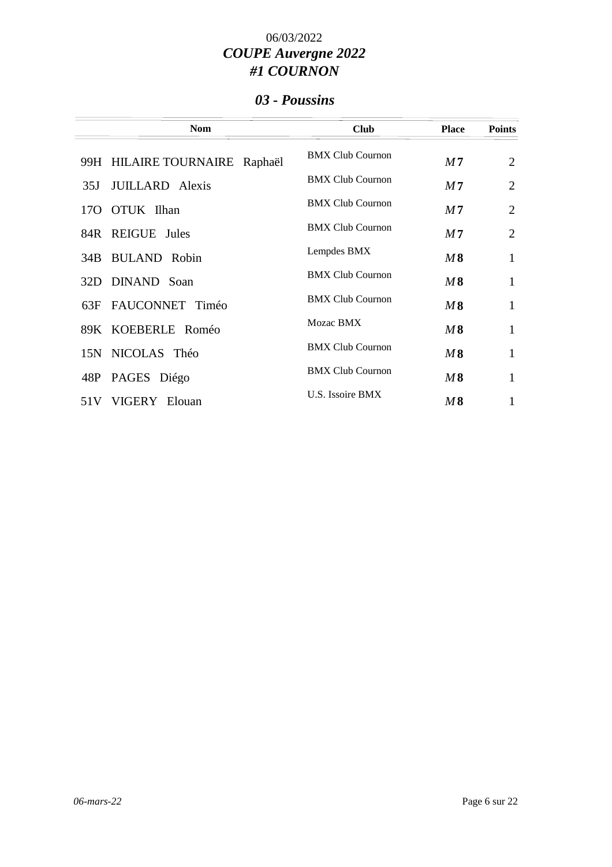### *03 - Poussins*

| <b>Nom</b>                    | <b>Club</b>             | <b>Place</b>   | <b>Points</b>  |
|-------------------------------|-------------------------|----------------|----------------|
| 99H HILAIRE TOURNAIRE Raphaël | <b>BMX Club Cournon</b> | M <sub>7</sub> | $\overline{2}$ |
| <b>JUILLARD</b> Alexis<br>35J | <b>BMX Club Cournon</b> | M7             | $\overline{2}$ |
| 170 OTUK Ilhan                | <b>BMX Club Cournon</b> | M <sub>7</sub> | $\overline{2}$ |
| 84R REIGUE Jules              | <b>BMX Club Cournon</b> | M <sub>7</sub> | $\overline{2}$ |
| 34B BULAND Robin              | Lempdes BMX             | M8             | 1              |
| 32D DINAND Soan               | <b>BMX Club Cournon</b> | M8             | 1              |
| FAUCONNET Timéo<br>63F        | <b>BMX Club Cournon</b> | M8             | 1              |
| 89K KOEBERLE Roméo            | Mozac BMX               | M8             | 1              |
| 15N NICOLAS Théo              | <b>BMX Club Cournon</b> | M8             | 1              |
| 48P PAGES Diégo               | <b>BMX Club Cournon</b> | M8             | 1              |
| VIGERY Elouan<br>51 V         | U.S. Issoire BMX        | $M\,8$         | 1              |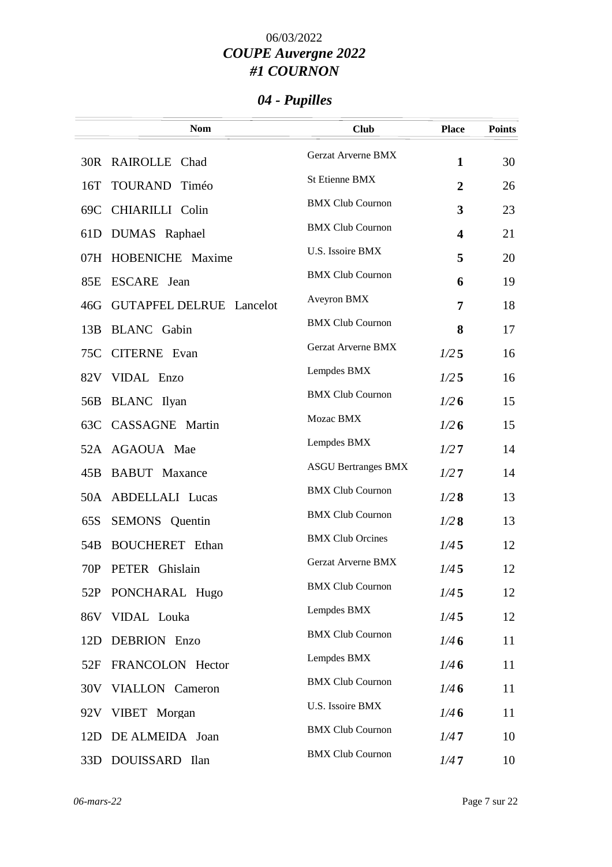# *04 - Pupilles*

| <b>Nom</b>                                | <b>Club</b>                | <b>Place</b>            | <b>Points</b> |
|-------------------------------------------|----------------------------|-------------------------|---------------|
| 30R RAIROLLE Chad                         | Gerzat Arverne BMX         | $\mathbf{1}$            | 30            |
| TOURAND Timéo<br>16T                      | <b>St Etienne BMX</b>      | $\overline{2}$          | 26            |
| 69C CHIARILLI Colin                       | <b>BMX Club Cournon</b>    | 3                       | 23            |
| DUMAS Raphael<br>61D                      | <b>BMX Club Cournon</b>    | $\overline{\mathbf{4}}$ | 21            |
| 07H HOBENICHE Maxime                      | U.S. Issoire BMX           | 5                       | 20            |
| 85E ESCARE Jean                           | <b>BMX Club Cournon</b>    | 6                       | 19            |
| <b>GUTAPFEL DELRUE Lancelot</b><br>46G    | Aveyron BMX                | 7                       | 18            |
| 13B<br><b>BLANC</b> Gabin                 | <b>BMX Club Cournon</b>    | 8                       | 17            |
| 75C CITERNE Evan                          | <b>Gerzat Arverne BMX</b>  | 1/25                    | 16            |
| 82V VIDAL Enzo                            | Lempdes BMX                | 1/25                    | 16            |
| 56B<br><b>BLANC</b> Ilyan                 | <b>BMX Club Cournon</b>    | 1/26                    | 15            |
| 63C CASSAGNE Martin                       | Mozac BMX                  | 1/26                    | 15            |
| 52A AGAOUA Mae                            | Lempdes BMX                | 1/27                    | 14            |
| <b>BABUT</b> Maxance<br>45B               | <b>ASGU Bertranges BMX</b> | 1/27                    | 14            |
| 50A ABDELLALI Lucas                       | <b>BMX Club Cournon</b>    | 1/28                    | 13            |
| <b>SEMONS</b> Quentin<br>65S              | <b>BMX Club Cournon</b>    | 1/28                    | 13            |
| <b>BOUCHERET</b> Ethan<br>54 <sub>B</sub> | <b>BMX Club Orcines</b>    | 1/45                    | 12            |
| 70P<br>PETER Ghislain                     | Gerzat Arverne BMX         | 1/45                    | 12            |
| 52P<br>PONCHARAL Hugo                     | <b>BMX Club Cournon</b>    | 1/45                    | 12            |
| VIDAL Louka<br>86V                        | Lempdes BMX                | 1/45                    | 12            |
| DEBRION Enzo<br>12D                       | <b>BMX Club Cournon</b>    | 1/46                    | 11            |
| FRANCOLON Hector<br>52F                   | Lempdes BMX                | 1/46                    | 11            |
| 30V VIALLON Cameron                       | <b>BMX Club Cournon</b>    | 1/46                    | 11            |
| 92V VIBET Morgan                          | U.S. Issoire BMX           | 1/46                    | 11            |
| 12D DE ALMEIDA Joan                       | <b>BMX Club Cournon</b>    | 1/47                    | 10            |
| 33D DOUISSARD Ilan                        | <b>BMX Club Cournon</b>    | 1/47                    | 10            |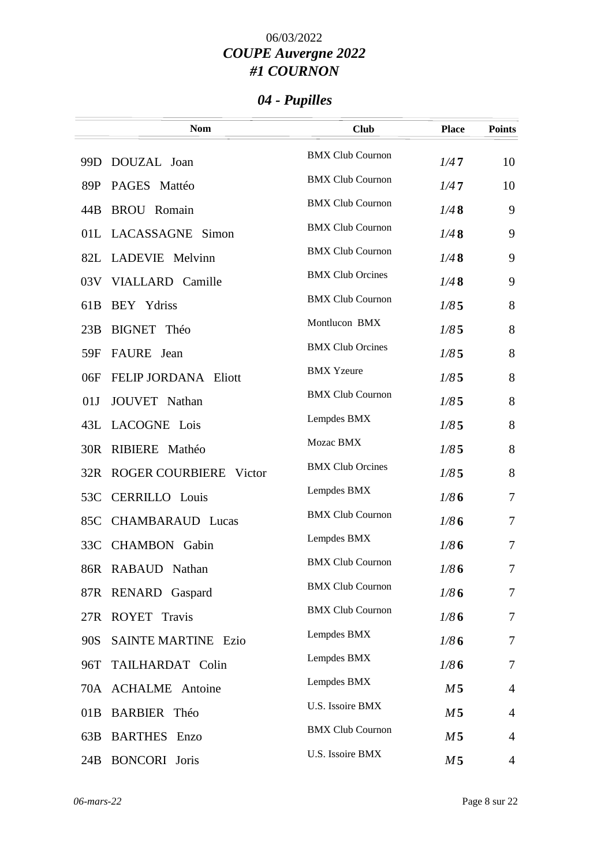# *04 - Pupilles*

|                 | <b>Nom</b>                    | <b>Club</b>             | <b>Place</b>   | <b>Points</b>  |
|-----------------|-------------------------------|-------------------------|----------------|----------------|
|                 | 99D DOUZAL Joan               | <b>BMX Club Cournon</b> | 1/47           | 10             |
| 89P             | PAGES Mattéo                  | <b>BMX Club Cournon</b> | 1/47           | 10             |
| 44B             | <b>BROU</b> Romain            | <b>BMX Club Cournon</b> | 1/48           | 9              |
|                 | 01L LACASSAGNE Simon          | <b>BMX Club Cournon</b> | 1/48           | 9              |
|                 | 82L LADEVIE Melvinn           | <b>BMX Club Cournon</b> | 1/48           | 9              |
|                 | 03V VIALLARD Camille          | <b>BMX Club Orcines</b> | 1/48           | 9              |
| 61 <sub>B</sub> | BEY Ydriss                    | <b>BMX Club Cournon</b> | 1/85           | 8              |
| 23B             | BIGNET Théo                   | Montlucon BMX           | 1/85           | 8              |
| 59F             | FAURE Jean                    | <b>BMX Club Orcines</b> | 1/85           | 8              |
| 06F             | FELIP JORDANA Eliott          | <b>BMX</b> Yzeure       | 1/85           | 8              |
| 01J             | JOUVET Nathan                 | <b>BMX Club Cournon</b> | 1/85           | 8              |
|                 | 43L LACOGNE Lois              | Lempdes BMX             | 1/85           | 8              |
| 30R             | RIBIERE Mathéo                | Mozac BMX               | 1/85           | 8              |
|                 | 32R ROGER COURBIERE<br>Victor | <b>BMX Club Orcines</b> | 1/85           | 8              |
| 53C             | <b>CERRILLO</b> Louis         | Lempdes BMX             | 1/86           | $\tau$         |
| 85C             | <b>CHAMBARAUD Lucas</b>       | <b>BMX Club Cournon</b> | 1/86           | $\tau$         |
|                 | 33C CHAMBON Gabin             | Lempdes BMX             | 1/86           | $\overline{7}$ |
|                 | 86R RABAUD Nathan             | <b>BMX Club Cournon</b> | 1/86           | 7              |
|                 | 87R RENARD Gaspard            | <b>BMX Club Cournon</b> | 1/86           | 7              |
|                 | 27R ROYET Travis              | <b>BMX Club Cournon</b> | 1/86           | $\tau$         |
| 90S             | <b>SAINTE MARTINE Ezio</b>    | Lempdes BMX             | 1/86           | $\overline{7}$ |
| 96T             | TAILHARDAT Colin              | Lempdes BMX             | 1/86           | $\tau$         |
|                 | 70A ACHALME Antoine           | Lempdes BMX             | M <sub>5</sub> | $\overline{4}$ |
| 01B             | <b>BARBIER</b> Théo           | U.S. Issoire BMX        | M <sub>5</sub> | $\overline{4}$ |
| 63B             | <b>BARTHES</b> Enzo           | <b>BMX Club Cournon</b> | M <sub>5</sub> | $\overline{4}$ |
| 24B             | <b>BONCORI</b> Joris          | U.S. Issoire BMX        | M <sub>5</sub> | $\overline{4}$ |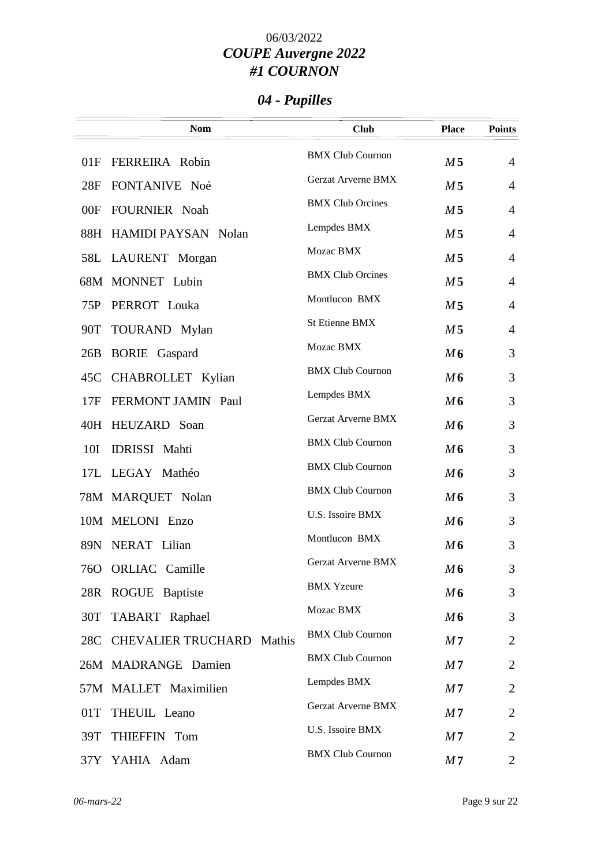# *04 - Pupilles*

|     | <b>Nom</b>                    | <b>Club</b>               | <b>Place</b>   | <b>Points</b>  |
|-----|-------------------------------|---------------------------|----------------|----------------|
| 01F | <b>FERREIRA</b> Robin         | <b>BMX Club Cournon</b>   | M <sub>5</sub> | $\overline{4}$ |
| 28F | FONTANIVE Noé                 | <b>Gerzat Arverne BMX</b> | M <sub>5</sub> | $\overline{4}$ |
| 00F | FOURNIER Noah                 | <b>BMX Club Orcines</b>   | M <sub>5</sub> | $\overline{4}$ |
|     | 88H HAMIDI PAYSAN Nolan       | Lempdes BMX               | M <sub>5</sub> | $\overline{4}$ |
|     | 58L LAURENT Morgan            | Mozac BMX                 | M <sub>5</sub> | $\overline{4}$ |
|     | 68M MONNET Lubin              | <b>BMX Club Orcines</b>   | M <sub>5</sub> | $\overline{4}$ |
| 75P | PERROT Louka                  | Montlucon BMX             | M <sub>5</sub> | $\overline{4}$ |
| 90T | TOURAND Mylan                 | St Etienne BMX            | M <sub>5</sub> | $\overline{4}$ |
| 26B | <b>BORIE</b> Gaspard          | Mozac BMX                 | M6             | 3              |
|     | 45C CHABROLLET Kylian         | <b>BMX Club Cournon</b>   | M6             | 3              |
| 17F | FERMONT JAMIN Paul            | Lempdes BMX               | M6             | 3              |
|     | 40H HEUZARD Soan              | Gerzat Arverne BMX        | M6             | 3              |
| 10I | <b>IDRISSI</b> Mahti          | <b>BMX Club Cournon</b>   | M6             | 3              |
|     | 17L LEGAY Mathéo              | <b>BMX Club Cournon</b>   | M6             | 3              |
|     | 78M MARQUET Nolan             | <b>BMX Club Cournon</b>   | M6             | 3              |
|     | 10M MELONI Enzo               | U.S. Issoire BMX          | M6             | 3              |
|     | 89N NERAT Lilian              | Montlucon BMX             | M6             | 3              |
| 76O | <b>ORLIAC</b> Camille         | Gerzat Arverne BMX        | M6             | 3              |
|     | 28R ROGUE Baptiste            | <b>BMX</b> Yzeure         | M6             | 3              |
| 30T | TABART Raphael                | Mozac BMX                 | M6             | 3              |
|     | 28C CHEVALIER TRUCHARD Mathis | <b>BMX Club Cournon</b>   | M <sub>7</sub> | $\overline{2}$ |
|     | 26M MADRANGE Damien           | <b>BMX Club Cournon</b>   | M <sub>7</sub> | $\overline{2}$ |
|     | 57M MALLET Maximilien         | Lempdes BMX               | M <sub>7</sub> | $\overline{2}$ |
| 01T | THEUIL Leano                  | <b>Gerzat Arverne BMX</b> | M <sub>7</sub> | $\overline{2}$ |
| 39T | THIEFFIN Tom                  | U.S. Issoire BMX          | M <sub>7</sub> | $\overline{2}$ |
|     | 37Y YAHIA Adam                | <b>BMX Club Cournon</b>   | M <sub>7</sub> | 2              |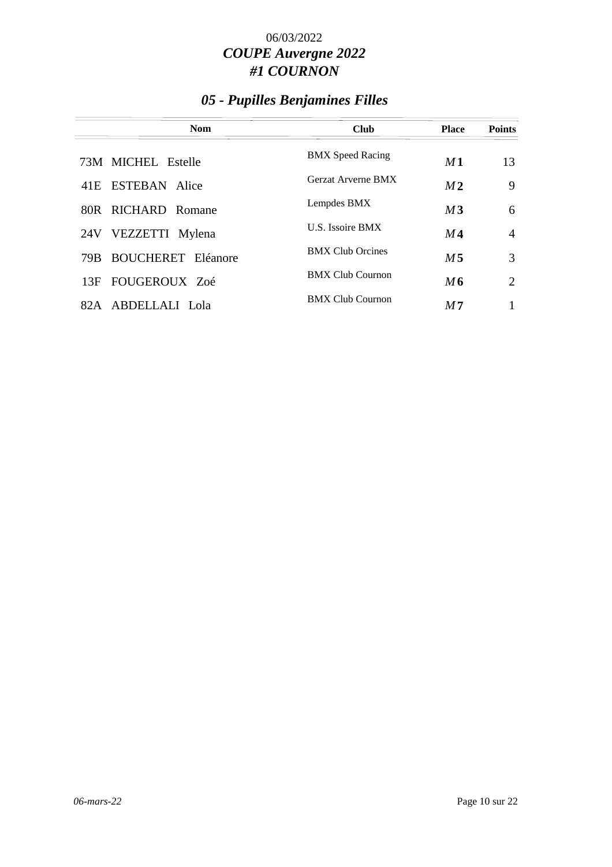## *05 - Pupilles Benjamines Filles*

| <b>Nom</b>                       | <b>Club</b>               | <b>Place</b>   | <b>Points</b>  |
|----------------------------------|---------------------------|----------------|----------------|
| 73M MICHEL Estelle               | <b>BMX</b> Speed Racing   | M1             | 13             |
| 41E ESTEBAN Alice                | <b>Gerzat Arverne BMX</b> | M <sub>2</sub> | 9              |
| 80R RICHARD Romane               | Lempdes BMX               | M3             | 6              |
| VEZZETTI Mylena<br>24V           | U.S. Issoire BMX          | M4             | $\overline{4}$ |
| <b>BOUCHERET</b> Eléanore<br>79B | <b>BMX Club Orcines</b>   | M 5            | 3              |
| FOUGEROUX Zoé<br>13F             | <b>BMX Club Cournon</b>   | M6             | 2              |
| ABDELLALI Lola<br>82.A           | <b>BMX Club Cournon</b>   | M7             | 1              |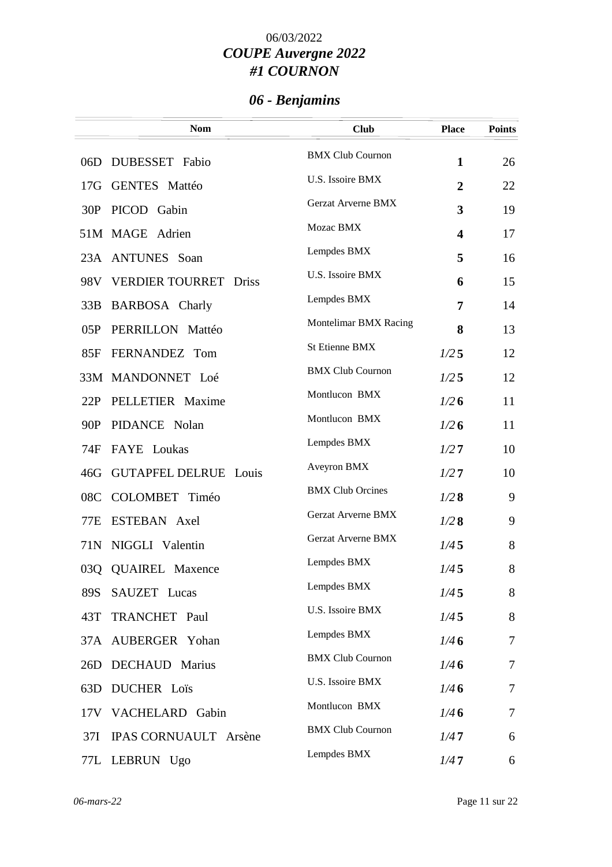# *06 - Benjamins*

|     | <b>Nom</b>                             | <b>Club</b>             | <b>Place</b>   | <b>Points</b> |
|-----|----------------------------------------|-------------------------|----------------|---------------|
|     | 06D DUBESSET Fabio                     | <b>BMX Club Cournon</b> | $\mathbf{1}$   | 26            |
|     | 17G GENTES Mattéo                      | U.S. Issoire BMX        | $\overline{2}$ | 22            |
| 30P | PICOD Gabin                            | Gerzat Arverne BMX      | 3              | 19            |
|     | 51M MAGE Adrien                        | Mozac BMX               | 4              | 17            |
|     | 23A ANTUNES Soan                       | Lempdes BMX             | 5              | 16            |
| 98V | <b>VERDIER TOURRET</b><br><b>Driss</b> | U.S. Issoire BMX        | 6              | 15            |
| 33B | <b>BARBOSA</b> Charly                  | Lempdes BMX             | 7              | 14            |
| 05P | PERRILLON Mattéo                       | Montelimar BMX Racing   | 8              | 13            |
| 85F | FERNANDEZ Tom                          | <b>St Etienne BMX</b>   | 1/25           | 12            |
|     | 33M MANDONNET Loé                      | <b>BMX Club Cournon</b> | 1/25           | 12            |
| 22P | PELLETIER Maxime                       | Montlucon BMX           | 1/26           | 11            |
| 90P | PIDANCE Nolan                          | Montlucon BMX           | 1/26           | 11            |
| 74F | FAYE Loukas                            | Lempdes BMX             | 1/27           | 10            |
| 46G | <b>GUTAPFEL DELRUE Louis</b>           | Aveyron BMX             | 1/27           | 10            |
| 08C | COLOMBET Timéo                         | <b>BMX Club Orcines</b> | 1/28           | 9             |
| 77E | ESTEBAN Axel                           | Gerzat Arverne BMX      | 1/28           | 9             |
| 71N | NIGGLI Valentin                        | Gerzat Arverne BMX      | 1/45           | 8             |
| 03Q | <b>QUAIREL Maxence</b>                 | Lempdes BMX             | 1/45           | 8             |
| 89S | SAUZET Lucas                           | Lempdes BMX             | 1/45           | 8             |
| 43T | TRANCHET Paul                          | U.S. Issoire BMX        | 1/45           | 8             |
|     | 37A AUBERGER Yohan                     | Lempdes BMX             | 1/46           | $\tau$        |
| 26D | <b>DECHAUD</b> Marius                  | <b>BMX Club Cournon</b> | 1/46           | 7             |
| 63D | <b>DUCHER</b> Loïs                     | U.S. Issoire BMX        | 1/46           | 7             |
|     | 17V VACHELARD Gabin                    | Montlucon BMX           | 1/46           | 7             |
| 37I | IPAS CORNUAULT Arsène                  | <b>BMX Club Cournon</b> | 1/47           | 6             |
|     | 77L LEBRUN Ugo                         | Lempdes BMX             | 1/47           | 6             |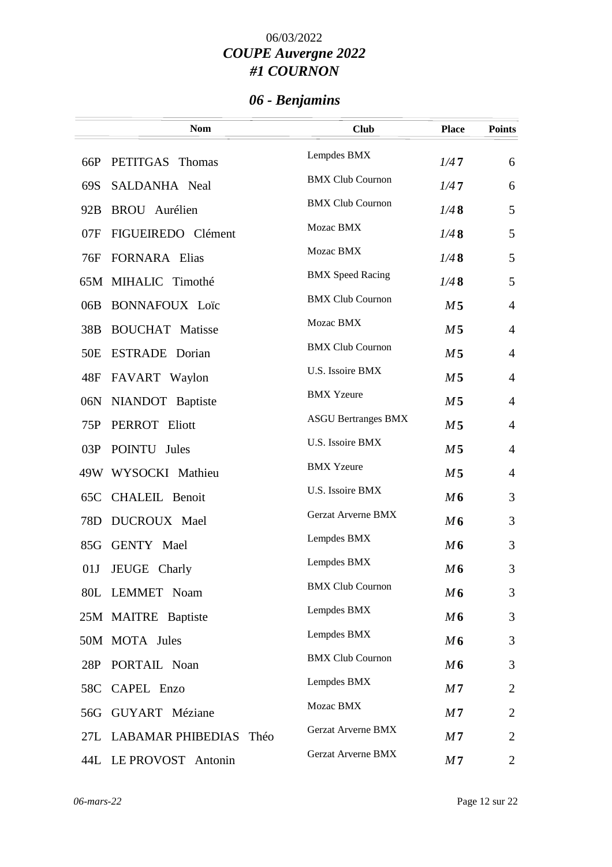# *06 - Benjamins*

|                 | <b>Nom</b>                 | <b>Club</b>                | <b>Place</b>   | <b>Points</b>  |
|-----------------|----------------------------|----------------------------|----------------|----------------|
| 66P             | PETITGAS Thomas            | Lempdes BMX                | 1/47           | 6              |
| 69S             | SALDANHA Neal              | <b>BMX Club Cournon</b>    | 1/47           | 6              |
| 92B             | <b>BROU</b> Aurélien       | <b>BMX Club Cournon</b>    | 1/48           | 5              |
| 07F             | FIGUEIREDO Clément         | Mozac BMX                  | 1/48           | 5              |
| 76F             | <b>FORNARA</b> Elias       | Mozac BMX                  | 1/48           | 5              |
|                 | 65M MIHALIC Timothé        | <b>BMX</b> Speed Racing    | 1/48           | 5              |
| 06B             | <b>BONNAFOUX Loïc</b>      | <b>BMX Club Cournon</b>    | M <sub>5</sub> | $\overline{4}$ |
| 38B             | <b>BOUCHAT</b> Matisse     | Mozac BMX                  | M <sub>5</sub> | $\overline{4}$ |
| 50 <sub>E</sub> | <b>ESTRADE</b> Dorian      | <b>BMX Club Cournon</b>    | M <sub>5</sub> | $\overline{4}$ |
| 48F             | FAVART Waylon              | U.S. Issoire BMX           | M <sub>5</sub> | $\overline{4}$ |
| 06N             | NIANDOT Baptiste           | <b>BMX Yzeure</b>          | M <sub>5</sub> | $\overline{4}$ |
| 75P             | PERROT Eliott              | <b>ASGU Bertranges BMX</b> | M <sub>5</sub> | $\overline{4}$ |
|                 | 03P POINTU Jules           | U.S. Issoire BMX           | M <sub>5</sub> | $\overline{4}$ |
|                 | 49W WYSOCKI Mathieu        | <b>BMX Yzeure</b>          | M <sub>5</sub> | $\overline{4}$ |
|                 | 65C CHALEIL Benoit         | U.S. Issoire BMX           | M6             | 3              |
| 78D             | DUCROUX Mael               | <b>Gerzat Arverne BMX</b>  | M6             | 3              |
|                 | 85G GENTY Mael             | Lempdes BMX                | M6             | 3              |
| 01J             | JEUGE Charly               | Lempdes BMX                | M6             | 3              |
|                 | 80L LEMMET Noam            | <b>BMX Club Cournon</b>    | M6             | 3              |
|                 | 25M MAITRE Baptiste        | Lempdes BMX                | M6             | 3              |
|                 | 50M MOTA Jules             | Lempdes BMX                | M6             | 3              |
|                 | 28P PORTAIL Noan           | <b>BMX Club Cournon</b>    | M6             | 3              |
|                 | 58C CAPEL Enzo             | Lempdes BMX                | M <sub>7</sub> | $\overline{2}$ |
|                 | 56G GUYART Méziane         | Mozac BMX                  | M <sub>7</sub> | 2              |
|                 | 27L LABAMAR PHIBEDIAS Théo | <b>Gerzat Arverne BMX</b>  | M7             | 2              |
|                 | 44L LE PROVOST Antonin     | Gerzat Arverne BMX         | M <sub>7</sub> | 2              |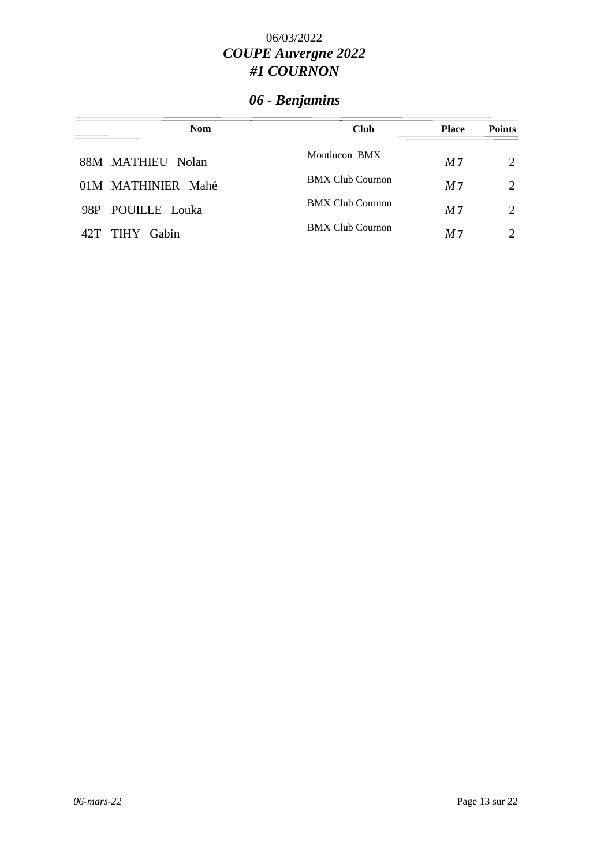# *06 - Benjamins*

| <b>Nom</b>         | <b>Club</b>             | <b>Place</b>   | <b>Points</b>               |
|--------------------|-------------------------|----------------|-----------------------------|
| 88M MATHIEU Nolan  | Montlucon BMX           | M <sub>7</sub> | $\mathcal{D}_{\mathcal{L}}$ |
| 01M MATHINIER Mahé | <b>BMX Club Cournon</b> | M <sub>7</sub> | $\mathcal{D}_{\mathcal{L}}$ |
| 98P POUILLE Louka  | <b>BMX Club Cournon</b> | M <sub>7</sub> | 2                           |
| TIHY Gabin<br>42T  | <b>BMX Club Cournon</b> | M <sub>7</sub> | $\mathcal{D}_{\mathcal{L}}$ |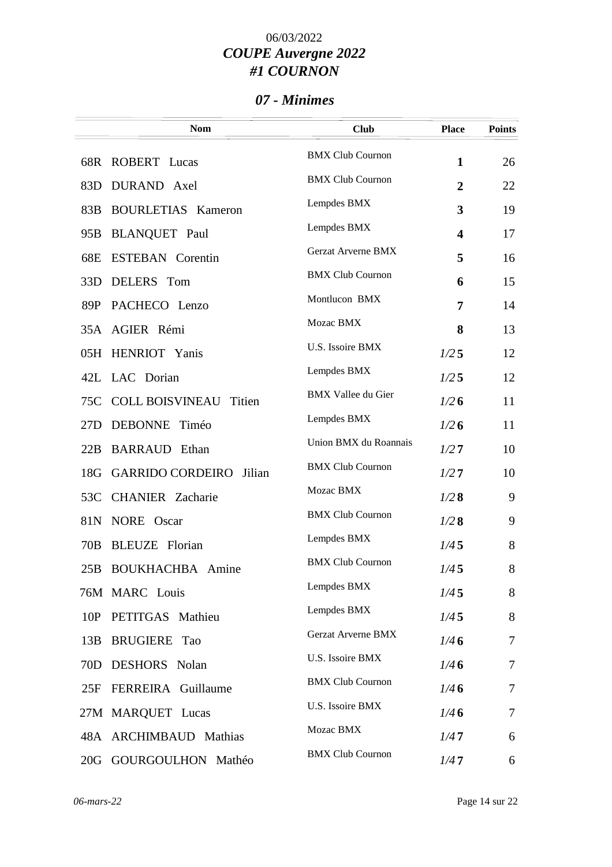### *07 - Minimes*

|                 | <b>Nom</b>                        | <b>Club</b>               | <b>Place</b>            | <b>Points</b>  |
|-----------------|-----------------------------------|---------------------------|-------------------------|----------------|
|                 | 68R ROBERT Lucas                  | <b>BMX Club Cournon</b>   | $\mathbf{1}$            | 26             |
| 83D             | DURAND Axel                       | <b>BMX Club Cournon</b>   | $\overline{2}$          | 22             |
| 83B             | <b>BOURLETIAS Kameron</b>         | Lempdes BMX               | 3                       | 19             |
| 95 <sub>B</sub> | <b>BLANQUET</b> Paul              | Lempdes BMX               | $\overline{\mathbf{4}}$ | 17             |
| 68E             | <b>ESTEBAN</b> Corentin           | <b>Gerzat Arverne BMX</b> | 5                       | 16             |
| 33D             | DELERS Tom                        | <b>BMX Club Cournon</b>   | 6                       | 15             |
| 89P             | PACHECO Lenzo                     | Montlucon BMX             | 7                       | 14             |
|                 | 35A AGIER Rémi                    | Mozac BMX                 | 8                       | 13             |
|                 | 05H HENRIOT Yanis                 | U.S. Issoire BMX          | 1/25                    | 12             |
|                 | 42L LAC Dorian                    | Lempdes BMX               | 1/25                    | 12             |
| 75C             | <b>COLL BOISVINEAU</b><br>Titien  | <b>BMX</b> Vallee du Gier | 1/26                    | 11             |
| 27D             | DEBONNE Timéo                     | Lempdes BMX               | 1/26                    | 11             |
| 22B             | <b>BARRAUD</b> Ethan              | Union BMX du Roannais     | 1/27                    | 10             |
| 18G             | <b>GARRIDO CORDEIRO</b><br>Jilian | <b>BMX Club Cournon</b>   | 1/27                    | 10             |
| 53C             | <b>CHANIER</b> Zacharie           | Mozac BMX                 | 1/28                    | 9              |
| 81N             | NORE Oscar                        | <b>BMX Club Cournon</b>   | 1/28                    | 9              |
| 70B             | <b>BLEUZE</b> Florian             | Lempdes BMX               | 1/45                    | 8              |
| 25B             | <b>BOUKHACHBA</b> Amine           | <b>BMX Club Cournon</b>   | 1/45                    | 8              |
|                 | 76M MARC Louis                    | Lempdes BMX               | 1/45                    | 8              |
| 10P             | PETITGAS Mathieu                  | Lempdes BMX               | 1/45                    | 8              |
| 13B             | <b>BRUGIERE</b> Tao               | <b>Gerzat Arverne BMX</b> | 1/46                    | $\overline{7}$ |
| 70 <sub>D</sub> | <b>DESHORS</b> Nolan              | U.S. Issoire BMX          | 1/46                    | 7              |
| 25F             | FERREIRA Guillaume                | <b>BMX Club Cournon</b>   | 1/46                    | $\tau$         |
|                 | 27M MARQUET Lucas                 | U.S. Issoire BMX          | 1/46                    | $\tau$         |
|                 | 48A ARCHIMBAUD Mathias            | Mozac BMX                 | 1/47                    | 6              |
|                 | 20G GOURGOULHON Mathéo            | <b>BMX Club Cournon</b>   | 1/47                    | 6              |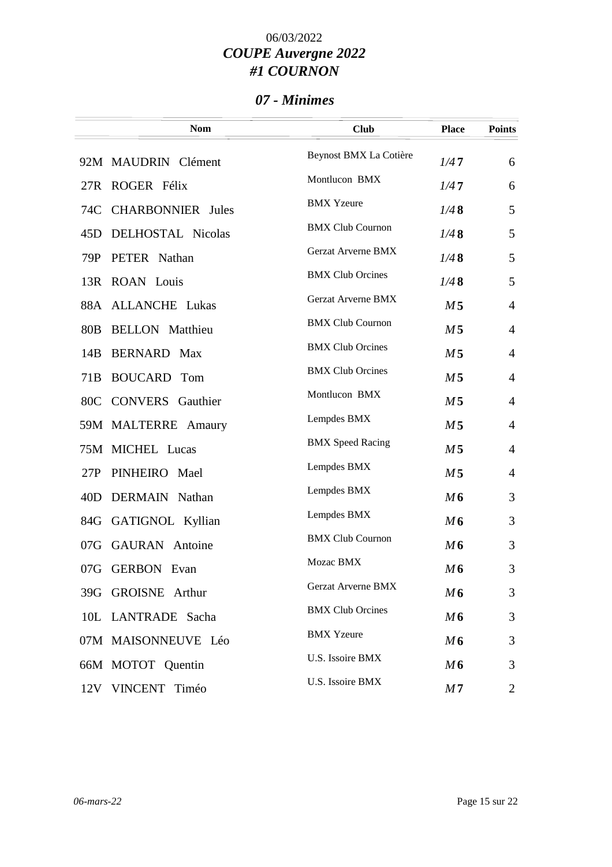### *07 - Minimes*

|     | <b>Nom</b>               | <b>Club</b>               | <b>Place</b>   | <b>Points</b>  |
|-----|--------------------------|---------------------------|----------------|----------------|
|     | 92M MAUDRIN Clément      | Beynost BMX La Cotière    | 1/47           | 6              |
| 27R | ROGER Félix              | Montlucon BMX             | 1/47           | 6              |
| 74C | <b>CHARBONNIER</b> Jules | <b>BMX</b> Yzeure         | 1/48           | 5              |
| 45D | DELHOSTAL Nicolas        | <b>BMX Club Cournon</b>   | 1/48           | 5              |
| 79P | PETER Nathan             | Gerzat Arverne BMX        | 1/48           | 5              |
|     | 13R ROAN Louis           | <b>BMX Club Orcines</b>   | 1/48           | 5              |
|     | 88A ALLANCHE Lukas       | Gerzat Arverne BMX        | M <sub>5</sub> | $\overline{4}$ |
| 80B | <b>BELLON</b> Matthieu   | <b>BMX Club Cournon</b>   | M <sub>5</sub> | $\overline{4}$ |
| 14B | <b>BERNARD</b> Max       | <b>BMX Club Orcines</b>   | M <sub>5</sub> | $\overline{4}$ |
| 71B | <b>BOUCARD</b> Tom       | <b>BMX Club Orcines</b>   | M <sub>5</sub> | $\overline{4}$ |
| 80C | <b>CONVERS</b> Gauthier  | Montlucon BMX             | M <sub>5</sub> | $\overline{4}$ |
|     | 59M MALTERRE Amaury      | Lempdes BMX               | M <sub>5</sub> | $\overline{4}$ |
|     | 75M MICHEL Lucas         | <b>BMX</b> Speed Racing   | M <sub>5</sub> | $\overline{4}$ |
| 27P | PINHEIRO Mael            | Lempdes BMX               | M <sub>5</sub> | $\overline{4}$ |
| 40D | DERMAIN Nathan           | Lempdes BMX               | M6             | 3              |
|     | 84G GATIGNOL Kyllian     | Lempdes BMX               | M6             | 3              |
| 07G | <b>GAURAN</b> Antoine    | <b>BMX Club Cournon</b>   | M6             | 3              |
|     | 07G GERBON Evan          | Mozac BMX                 | M6             | 3              |
|     | 39G GROISNE Arthur       | <b>Gerzat Arverne BMX</b> | M <sub>6</sub> | 3              |
|     | 10L LANTRADE Sacha       | <b>BMX Club Orcines</b>   | M6             | 3              |
|     | 07M MAISONNEUVE Léo      | <b>BMX</b> Yzeure         | M6             | 3              |
|     | 66M MOTOT Quentin        | U.S. Issoire BMX          | M6             | 3              |
|     | 12V VINCENT Timéo        | U.S. Issoire BMX          | M7             | 2              |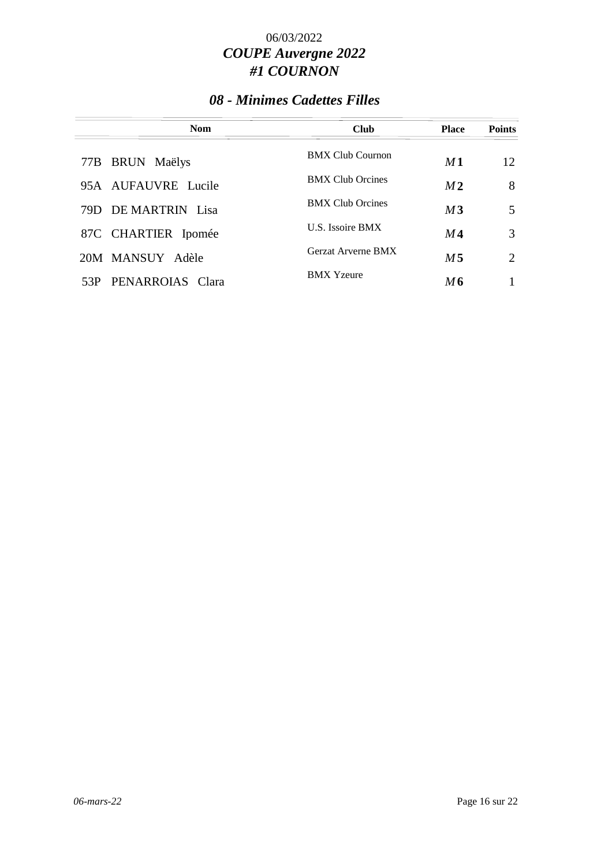## *08 - Minimes Cadettes Filles*

| <b>Nom</b>              | <b>Club</b>               | <b>Place</b>   | <b>Points</b> |
|-------------------------|---------------------------|----------------|---------------|
| 77B BRUN Maëlys         | <b>BMX Club Cournon</b>   | M1             | 12            |
| 95A AUFAUVRE Lucile     | <b>BMX Club Orcines</b>   | M <sub>2</sub> | 8             |
| 79D DE MARTRIN Lisa     | <b>BMX Club Orcines</b>   | M <sub>3</sub> | 5             |
| 87C CHARTIER Ipomée     | U.S. Issoire BMX          | M 4            | 3             |
| 20M MANSUY Adèle        | <b>Gerzat Arverne BMX</b> | M 5            | 2             |
| PENARROIAS Clara<br>53P | <b>BMX</b> Yzeure         | M6             |               |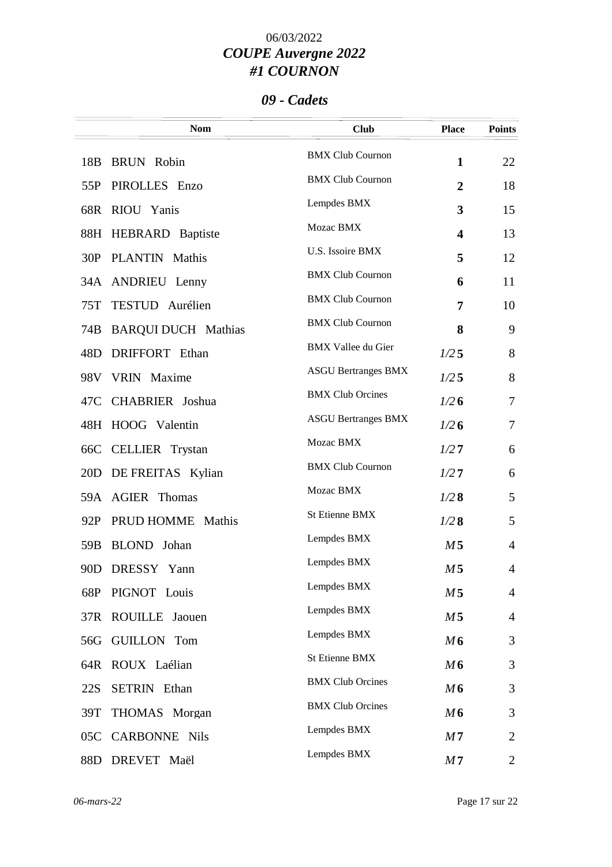### *09 - Cadets*

|                 | <b>Nom</b>                 | <b>Club</b>                | <b>Place</b>            | <b>Points</b>  |
|-----------------|----------------------------|----------------------------|-------------------------|----------------|
| 18 <sub>B</sub> | <b>BRUN</b> Robin          | <b>BMX Club Cournon</b>    | $\mathbf{1}$            | 22             |
| 55P             | PIROLLES Enzo              | <b>BMX Club Cournon</b>    | $\overline{2}$          | 18             |
|                 | 68R RIOU Yanis             | Lempdes BMX                | 3                       | 15             |
| 88H             | <b>HEBRARD</b> Baptiste    | Mozac BMX                  | $\overline{\mathbf{4}}$ | 13             |
| 30P             | PLANTIN Mathis             | U.S. Issoire BMX           | 5                       | 12             |
|                 | 34A ANDRIEU Lenny          | <b>BMX Club Cournon</b>    | 6                       | 11             |
| 75T             | TESTUD Aurélien            | <b>BMX Club Cournon</b>    | 7                       | 10             |
| 74B             | <b>BARQUI DUCH Mathias</b> | <b>BMX Club Cournon</b>    | 8                       | 9              |
| 48D             | DRIFFORT Ethan             | <b>BMX Vallee du Gier</b>  | 1/25                    | 8              |
|                 | 98V VRIN Maxime            | <b>ASGU Bertranges BMX</b> | 1/25                    | 8              |
|                 | 47C CHABRIER Joshua        | <b>BMX Club Orcines</b>    | 1/26                    | $\tau$         |
| 48H             | HOOG Valentin              | <b>ASGU Bertranges BMX</b> | 1/26                    | $\tau$         |
|                 | 66C CELLIER Trystan        | Mozac BMX                  | 1/27                    | 6              |
| 20D             | DE FREITAS Kylian          | <b>BMX Club Cournon</b>    | 1/27                    | 6              |
|                 | 59A AGIER Thomas           | Mozac BMX                  | 1/28                    | 5              |
| 92P             | PRUD HOMME Mathis          | <b>St Etienne BMX</b>      | 1/28                    | 5              |
| 59 <sub>B</sub> | BLOND Johan                | Lempdes BMX                | M <sub>5</sub>          | $\overline{4}$ |
|                 | 90D DRESSY Yann            | Lempdes BMX                | M <sub>5</sub>          | 4              |
|                 | 68P PIGNOT Louis           | Lempdes BMX                | M <sub>5</sub>          | $\overline{4}$ |
|                 | 37R ROUILLE Jaouen         | Lempdes BMX                | M <sub>5</sub>          | 4              |
|                 | 56G GUILLON Tom            | Lempdes BMX                | M6                      | 3              |
| 64R             | ROUX Laélian               | St Etienne BMX             | M6                      | 3              |
| 22S             | <b>SETRIN</b> Ethan        | <b>BMX Club Orcines</b>    | M6                      | 3              |
| 39T             | THOMAS Morgan              | <b>BMX Club Orcines</b>    | M6                      | 3              |
|                 | 05C CARBONNE Nils          | Lempdes BMX                | M <sub>7</sub>          | $\overline{2}$ |
|                 | 88D DREVET Maël            | Lempdes BMX                | M <sub>7</sub>          | $\overline{2}$ |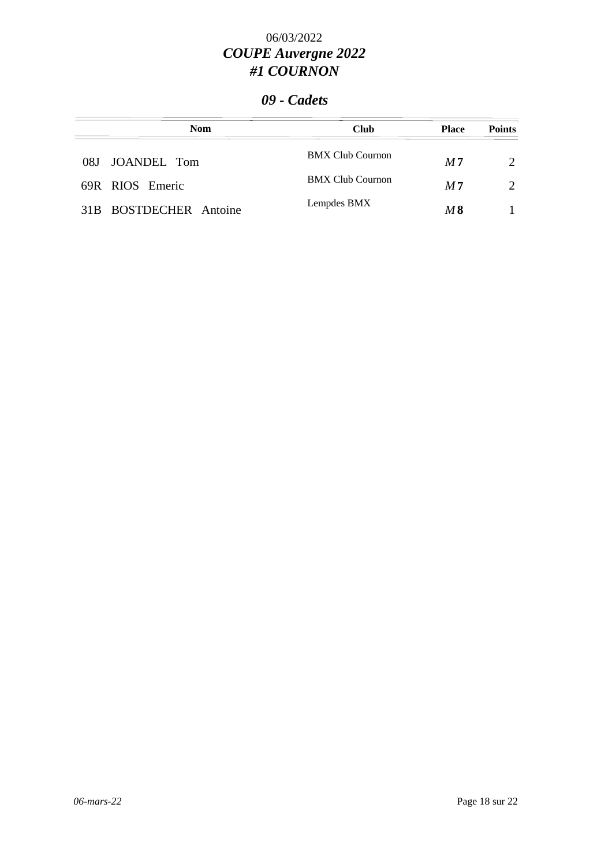### *09 - Cadets*

| <b>Nom</b>             | <b>Club</b>             | <b>Place</b>   | <b>Points</b> |
|------------------------|-------------------------|----------------|---------------|
| 08J JOANDEL Tom        | <b>BMX Club Cournon</b> | M <sub>7</sub> |               |
| 69R RIOS Emeric        | <b>BMX Club Cournon</b> | M <sub>7</sub> | $\mathcal{D}$ |
| 31B BOSTDECHER Antoine | Lempdes BMX             | M8             |               |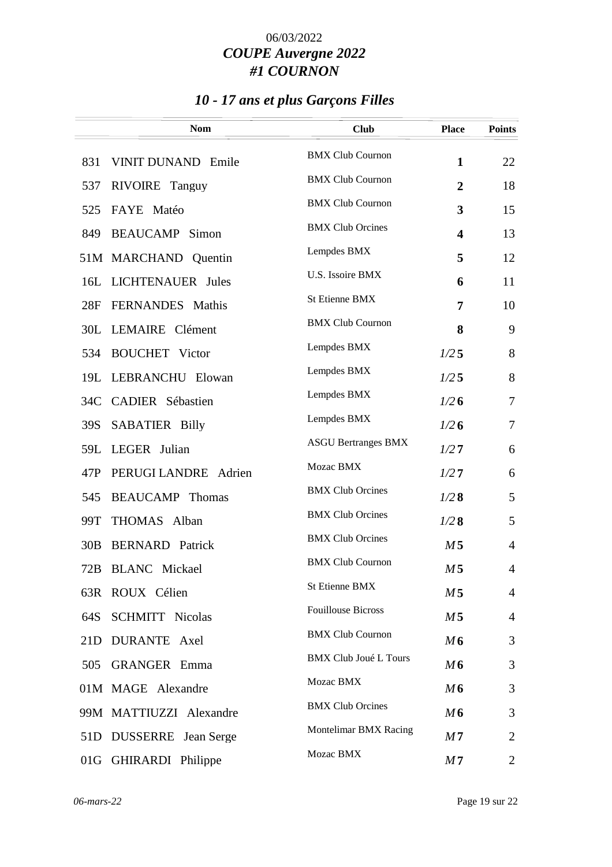# *10 - 17 ans et plus Garçons Filles*

|     | <b>Nom</b>                | <b>Club</b>                  | <b>Place</b>            | <b>Points</b>  |
|-----|---------------------------|------------------------------|-------------------------|----------------|
| 831 | <b>VINIT DUNAND Emile</b> | <b>BMX Club Cournon</b>      | $\mathbf{1}$            | 22             |
| 537 | RIVOIRE Tanguy            | <b>BMX Club Cournon</b>      | $\overline{2}$          | 18             |
| 525 | FAYE Matéo                | <b>BMX Club Cournon</b>      | $\mathbf{3}$            | 15             |
| 849 | <b>BEAUCAMP</b> Simon     | <b>BMX Club Orcines</b>      | $\overline{\mathbf{4}}$ | 13             |
|     | 51M MARCHAND Quentin      | Lempdes BMX                  | 5                       | 12             |
|     | 16L LICHTENAUER Jules     | U.S. Issoire BMX             | 6                       | 11             |
| 28F | FERNANDES Mathis          | <b>St Etienne BMX</b>        | 7                       | 10             |
|     | 30L LEMAIRE Clément       | <b>BMX Club Cournon</b>      | 8                       | 9              |
| 534 | <b>BOUCHET</b> Victor     | Lempdes BMX                  | 1/25                    | 8              |
|     | 19L LEBRANCHU Elowan      | Lempdes BMX                  | 1/25                    | 8              |
|     | 34C CADIER Sébastien      | Lempdes BMX                  | 1/26                    | $\tau$         |
| 39S | <b>SABATIER Billy</b>     | Lempdes BMX                  | 1/26                    | $\tau$         |
| 59L | LEGER Julian              | <b>ASGU Bertranges BMX</b>   | 1/27                    | 6              |
| 47P | PERUGI LANDRE Adrien      | Mozac BMX                    | 1/27                    | 6              |
| 545 | <b>BEAUCAMP</b> Thomas    | <b>BMX Club Orcines</b>      | 1/28                    | 5              |
| 99T | THOMAS Alban              | <b>BMX Club Orcines</b>      | 1/28                    | 5              |
| 30B | <b>BERNARD</b> Patrick    | <b>BMX Club Orcines</b>      | M <sub>5</sub>          | 4              |
|     | 72B BLANC Mickael         | <b>BMX Club Cournon</b>      | M <sub>5</sub>          | 4              |
|     | 63R ROUX Célien           | <b>St Etienne BMX</b>        | M 5                     | $\overline{4}$ |
| 64S | <b>SCHMITT Nicolas</b>    | <b>Fouillouse Bicross</b>    | M <sub>5</sub>          | $\overline{4}$ |
| 21D | DURANTE Axel              | <b>BMX Club Cournon</b>      | M6                      | 3              |
| 505 | <b>GRANGER</b> Emma       | <b>BMX Club Joué L Tours</b> | M6                      | 3              |
|     | 01M MAGE Alexandre        | Mozac BMX                    | M6                      | 3              |
|     | 99M MATTIUZZI Alexandre   | <b>BMX Club Orcines</b>      | M6                      | 3              |
| 51D | DUSSERRE Jean Serge       | Montelimar BMX Racing        | M7                      | 2              |
|     | 01G GHIRARDI Philippe     | Mozac BMX                    | M <sub>7</sub>          | 2              |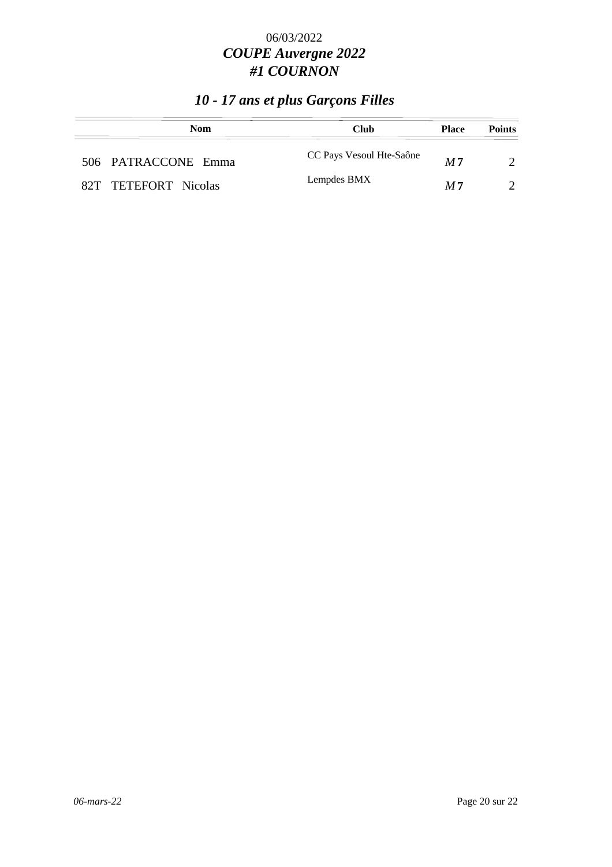# *10 - 17 ans et plus Garçons Filles*

| <b>Nom</b>           | Club                     | <b>Place</b>   | <b>Points</b> |
|----------------------|--------------------------|----------------|---------------|
| 506 PATRACCONE Emma  | CC Pays Vesoul Hte-Saône | M <sub>7</sub> |               |
| 82T TETEFORT Nicolas | Lempdes BMX              | M <sub>7</sub> |               |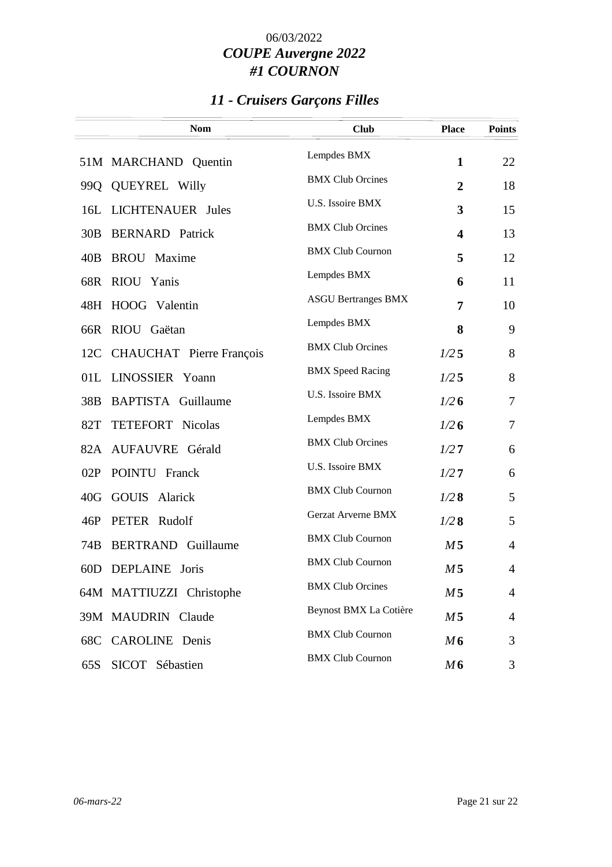# *11 - Cruisers Garçons Filles*

|     | <b>Nom</b>                   | <b>Club</b>                | <b>Place</b>            | <b>Points</b>  |
|-----|------------------------------|----------------------------|-------------------------|----------------|
|     | 51M MARCHAND Quentin         | Lempdes BMX                | $\mathbf{1}$            | 22             |
| 99Q | <b>QUEYREL Willy</b>         | <b>BMX Club Orcines</b>    | $\overline{2}$          | 18             |
| 16L | <b>LICHTENAUER</b> Jules     | U.S. Issoire BMX           | 3                       | 15             |
|     | 30B BERNARD Patrick          | <b>BMX Club Orcines</b>    | $\overline{\mathbf{4}}$ | 13             |
| 40B | <b>BROU</b> Maxime           | <b>BMX Club Cournon</b>    | 5                       | 12             |
|     | 68R RIOU Yanis               | Lempdes BMX                | 6                       | 11             |
|     | 48H HOOG Valentin            | <b>ASGU Bertranges BMX</b> | 7                       | 10             |
|     | RIOU Gaëtan                  | Lempdes BMX                |                         | 9              |
| 66R |                              | <b>BMX Club Orcines</b>    | 8                       |                |
|     | 12C CHAUCHAT Pierre François | <b>BMX</b> Speed Racing    | 1/25                    | 8              |
|     | 01L LINOSSIER Yoann          | U.S. Issoire BMX           | 1/25                    | 8              |
| 38B | <b>BAPTISTA</b> Guillaume    |                            | 1/26                    | $\tau$         |
| 82T | <b>TETEFORT</b> Nicolas      | Lempdes BMX                | 1/26                    | $\tau$         |
|     | 82A AUFAUVRE Gérald          | <b>BMX Club Orcines</b>    | 1/27                    | 6              |
| 02P | POINTU Franck                | U.S. Issoire BMX           | 1/27                    | 6              |
|     | 40G GOUIS Alarick            | <b>BMX Club Cournon</b>    | 1/28                    | 5              |
| 46P | PETER Rudolf                 | <b>Gerzat Arverne BMX</b>  | 1/28                    | 5              |
| 74B | <b>BERTRAND</b> Guillaume    | <b>BMX Club Cournon</b>    | M <sub>5</sub>          | $\overline{4}$ |
|     | 60D DEPLAINE Joris           | <b>BMX Club Cournon</b>    | M <sub>5</sub>          | 4              |
|     | 64M MATTIUZZI Christophe     | <b>BMX Club Orcines</b>    | M <sub>5</sub>          | $\overline{4}$ |
|     |                              | Beynost BMX La Cotière     |                         |                |
|     | 39M MAUDRIN Claude           |                            | M <sub>5</sub>          | $\overline{4}$ |
|     | 68C CAROLINE Denis           | <b>BMX Club Cournon</b>    | M6                      | 3              |
| 65S | SICOT Sébastien              | <b>BMX Club Cournon</b>    | M6                      | 3              |